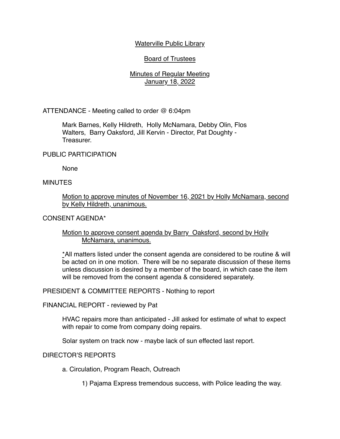## Waterville Public Library

# Board of Trustees

## Minutes of Regular Meeting January 18, 2022

ATTENDANCE - Meeting called to order @ 6:04pm

Mark Barnes, Kelly Hildreth, Holly McNamara, Debby Olin, Flos Walters, Barry Oaksford, Jill Kervin - Director, Pat Doughty - Treasurer.

PUBLIC PARTICIPATION

None

## **MINUTES**

Motion to approve minutes of November 16, 2021 by Holly McNamara, second by Kelly Hildreth, unanimous.

CONSENT AGENDA\*

## Motion to approve consent agenda by Barry Oaksford, second by Holly McNamara, unanimous.

\*All matters listed under the consent agenda are considered to be routine & will be acted on in one motion. There will be no separate discussion of these items unless discussion is desired by a member of the board, in which case the item will be removed from the consent agenda & considered separately.

PRESIDENT & COMMITTEE REPORTS - Nothing to report

FINANCIAL REPORT - reviewed by Pat

HVAC repairs more than anticipated - Jill asked for estimate of what to expect with repair to come from company doing repairs.

Solar system on track now - maybe lack of sun effected last report.

DIRECTOR'S REPORTS

a. Circulation, Program Reach, Outreach

1) Pajama Express tremendous success, with Police leading the way.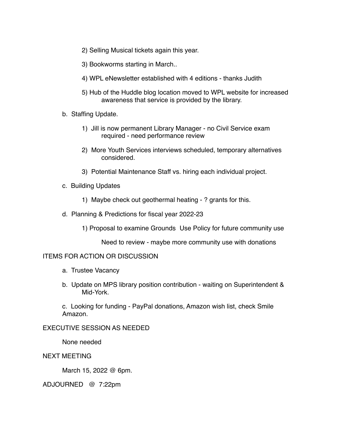- 2) Selling Musical tickets again this year.
- 3) Bookworms starting in March..
- 4) WPL eNewsletter established with 4 editions thanks Judith
- 5) Hub of the Huddle blog location moved to WPL website for increased awareness that service is provided by the library.
- b. Staffing Update.
	- 1) Jill is now permanent Library Manager no Civil Service exam required - need performance review
	- 2) More Youth Services interviews scheduled, temporary alternatives considered.
	- 3) Potential Maintenance Staff vs. hiring each individual project.
- c. Building Updates
	- 1) Maybe check out geothermal heating ? grants for this.
- d. Planning & Predictions for fiscal year 2022-23
	- 1) Proposal to examine Grounds Use Policy for future community use

Need to review - maybe more community use with donations

#### ITEMS FOR ACTION OR DISCUSSION

- a. Trustee Vacancy
- b. Update on MPS library position contribution waiting on Superintendent & Mid-York.

c. Looking for funding - PayPal donations, Amazon wish list, check Smile Amazon.

## EXECUTIVE SESSION AS NEEDED

None needed

#### NEXT MEETING

March 15, 2022 @ 6pm.

ADJOURNED @ 7:22pm